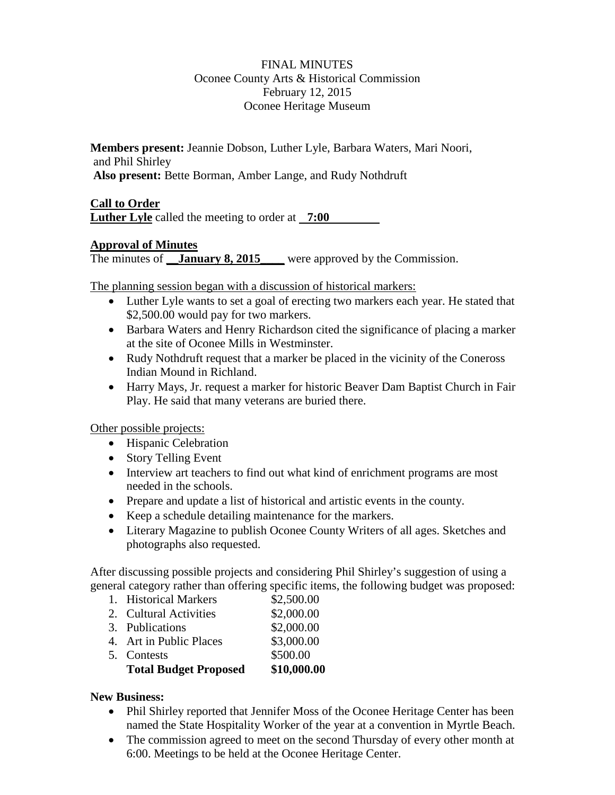#### FINAL MINUTES Oconee County Arts & Historical Commission February 12, 2015 Oconee Heritage Museum

**Members present:** Jeannie Dobson, Luther Lyle, Barbara Waters, Mari Noori, and Phil Shirley **Also present:** Bette Borman, Amber Lange, and Rudy Nothdruft

#### **Call to Order**

**Luther Lyle** called the meeting to order at **7:00**

### **Approval of Minutes**

The minutes of **\_\_January 8, 2015** were approved by the Commission.

The planning session began with a discussion of historical markers:

- Luther Lyle wants to set a goal of erecting two markers each year. He stated that \$2,500.00 would pay for two markers.
- Barbara Waters and Henry Richardson cited the significance of placing a marker at the site of Oconee Mills in Westminster.
- Rudy Nothdruft request that a marker be placed in the vicinity of the Coneross Indian Mound in Richland.
- Harry Mays, Jr. request a marker for historic Beaver Dam Baptist Church in Fair Play. He said that many veterans are buried there.

Other possible projects:

- Hispanic Celebration
- Story Telling Event
- Interview art teachers to find out what kind of enrichment programs are most needed in the schools.
- Prepare and update a list of historical and artistic events in the county.
- Keep a schedule detailing maintenance for the markers.
- Literary Magazine to publish Oconee County Writers of all ages. Sketches and photographs also requested.

After discussing possible projects and considering Phil Shirley's suggestion of using a general category rather than offering specific items, the following budget was proposed:

- 1. Historical Markers \$2,500.00
- 2. Cultural Activities \$2,000.00
- 3. Publications \$2,000.00 4. Art in Public Places \$3,000.00 5. Contests \$500.00 **Total Budget Proposed \$10,000.00**

#### **New Business:**

- Phil Shirley reported that Jennifer Moss of the Oconee Heritage Center has been named the State Hospitality Worker of the year at a convention in Myrtle Beach.
- The commission agreed to meet on the second Thursday of every other month at 6:00. Meetings to be held at the Oconee Heritage Center.